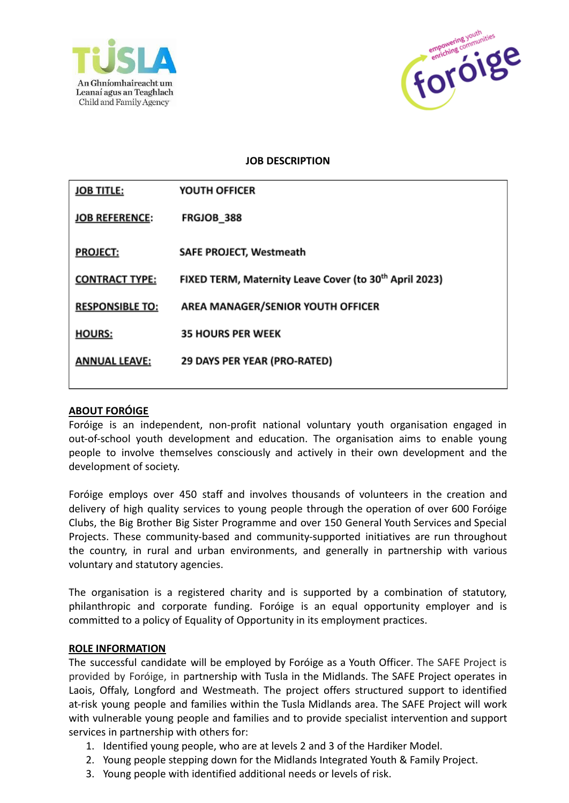



## **JOB DESCRIPTION**

| <b>JOB TITLE:</b>      | YOUTH OFFICER                                                      |
|------------------------|--------------------------------------------------------------------|
| <b>JOB REFERENCE:</b>  | FRGJOB 388                                                         |
| <b>PROJECT:</b>        | <b>SAFE PROJECT, Westmeath</b>                                     |
| <b>CONTRACT TYPE:</b>  | FIXED TERM, Maternity Leave Cover (to 30 <sup>th</sup> April 2023) |
| <b>RESPONSIBLE TO:</b> | AREA MANAGER/SENIOR YOUTH OFFICER                                  |
| <b>HOURS:</b>          | <b>35 HOURS PER WEEK</b>                                           |
| <b>ANNUAL LEAVE:</b>   | 29 DAYS PER YEAR (PRO-RATED)                                       |
|                        |                                                                    |

#### **ABOUT FORÓIGE**

Foróige is an independent, non-profit national voluntary youth organisation engaged in out-of-school youth development and education. The organisation aims to enable young people to involve themselves consciously and actively in their own development and the development of society.

Foróige employs over 450 staff and involves thousands of volunteers in the creation and delivery of high quality services to young people through the operation of over 600 Foróige Clubs, the Big Brother Big Sister Programme and over 150 General Youth Services and Special Projects. These community-based and community-supported initiatives are run throughout the country, in rural and urban environments, and generally in partnership with various voluntary and statutory agencies.

The organisation is a registered charity and is supported by a combination of statutory, philanthropic and corporate funding. Foróige is an equal opportunity employer and is committed to a policy of Equality of Opportunity in its employment practices.

#### **ROLE INFORMATION**

The successful candidate will be employed by Foróige as a Youth Officer. The SAFE Project is provided by Foróige, in partnership with Tusla in the Midlands. The SAFE Project operates in Laois, Offaly, Longford and Westmeath. The project offers structured support to identified at-risk young people and families within the Tusla Midlands area. The SAFE Project will work with vulnerable young people and families and to provide specialist intervention and support services in partnership with others for:

- 1. Identified young people, who are at levels 2 and 3 of the Hardiker Model.
- 2. Young people stepping down for the Midlands Integrated Youth & Family Project.
- 3. Young people with identified additional needs or levels of risk.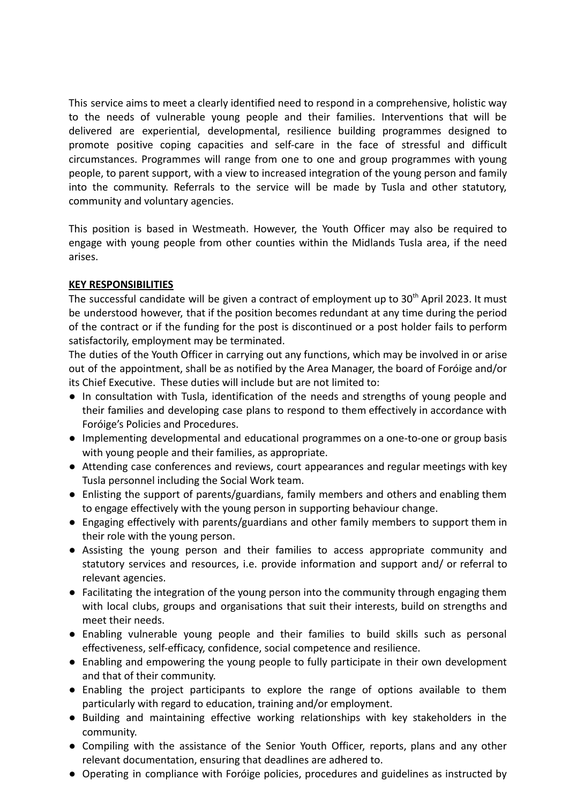This service aims to meet a clearly identified need to respond in a comprehensive, holistic way to the needs of vulnerable young people and their families. Interventions that will be delivered are experiential, developmental, resilience building programmes designed to promote positive coping capacities and self-care in the face of stressful and difficult circumstances. Programmes will range from one to one and group programmes with young people, to parent support, with a view to increased integration of the young person and family into the community. Referrals to the service will be made by Tusla and other statutory, community and voluntary agencies.

This position is based in Westmeath. However, the Youth Officer may also be required to engage with young people from other counties within the Midlands Tusla area, if the need arises.

#### **KEY RESPONSIBILITIES**

The successful candidate will be given a contract of employment up to  $30<sup>th</sup>$  April 2023. It must be understood however, that if the position becomes redundant at any time during the period of the contract or if the funding for the post is discontinued or a post holder fails to perform satisfactorily, employment may be terminated.

The duties of the Youth Officer in carrying out any functions, which may be involved in or arise out of the appointment, shall be as notified by the Area Manager, the board of Foróige and/or its Chief Executive. These duties will include but are not limited to:

- In consultation with Tusla, identification of the needs and strengths of young people and their families and developing case plans to respond to them effectively in accordance with Foróige's Policies and Procedures.
- Implementing developmental and educational programmes on a one-to-one or group basis with young people and their families, as appropriate.
- Attending case conferences and reviews, court appearances and regular meetings with key Tusla personnel including the Social Work team.
- Enlisting the support of parents/guardians, family members and others and enabling them to engage effectively with the young person in supporting behaviour change.
- Engaging effectively with parents/guardians and other family members to support them in their role with the young person.
- Assisting the young person and their families to access appropriate community and statutory services and resources, i.e. provide information and support and/ or referral to relevant agencies.
- Facilitating the integration of the young person into the community through engaging them with local clubs, groups and organisations that suit their interests, build on strengths and meet their needs.
- Enabling vulnerable young people and their families to build skills such as personal effectiveness, self-efficacy, confidence, social competence and resilience.
- Enabling and empowering the young people to fully participate in their own development and that of their community.
- Enabling the project participants to explore the range of options available to them particularly with regard to education, training and/or employment.
- Building and maintaining effective working relationships with key stakeholders in the community.
- Compiling with the assistance of the Senior Youth Officer, reports, plans and any other relevant documentation, ensuring that deadlines are adhered to.
- Operating in compliance with Foróige policies, procedures and guidelines as instructed by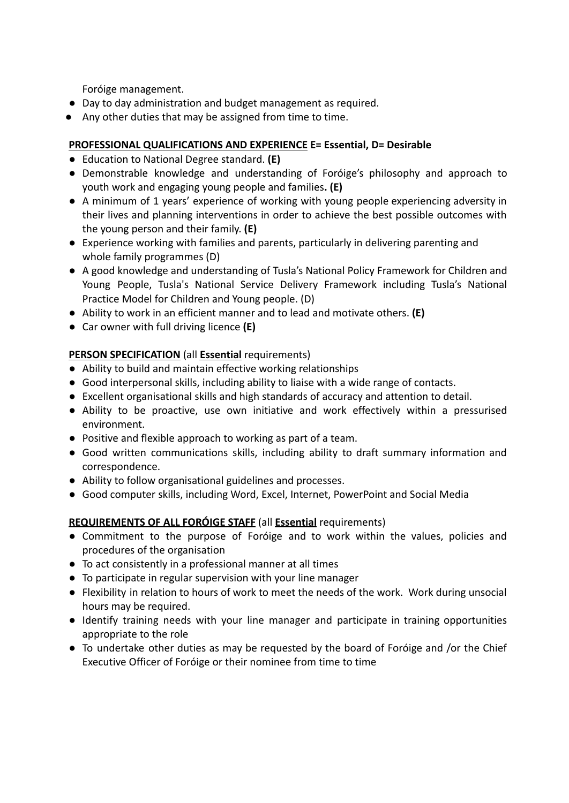Foróige management.

- Day to day administration and budget management as required.
- Any other duties that may be assigned from time to time.

## **PROFESSIONAL QUALIFICATIONS AND EXPERIENCE E= Essential, D= Desirable**

- Education to National Degree standard. **(E)**
- Demonstrable knowledge and understanding of Foróige's philosophy and approach to youth work and engaging young people and families**. (E)**
- A minimum of 1 years' experience of working with young people experiencing adversity in their lives and planning interventions in order to achieve the best possible outcomes with the young person and their family. **(E)**
- Experience working with families and parents, particularly in delivering parenting and whole family programmes (D)
- A good knowledge and understanding of Tusla's National Policy Framework for Children and Young People, Tusla's National Service Delivery Framework including Tusla's National Practice Model for Children and Young people. (D)
- Ability to work in an efficient manner and to lead and motivate others. **(E)**
- **●** Car owner with full driving licence **(E)**

# **PERSON SPECIFICATION** (all **Essential** requirements)

- Ability to build and maintain effective working relationships
- Good interpersonal skills, including ability to liaise with a wide range of contacts.
- Excellent organisational skills and high standards of accuracy and attention to detail.
- Ability to be proactive, use own initiative and work effectively within a pressurised environment.
- Positive and flexible approach to working as part of a team.
- Good written communications skills, including ability to draft summary information and correspondence.
- Ability to follow organisational guidelines and processes.
- Good computer skills, including Word, Excel, Internet, PowerPoint and Social Media

## **REQUIREMENTS OF ALL FORÓIGE STAFF** (all **Essential** requirements)

- Commitment to the purpose of Foróige and to work within the values, policies and procedures of the organisation
- To act consistently in a professional manner at all times
- To participate in regular supervision with your line manager
- Flexibility in relation to hours of work to meet the needs of the work. Work during unsocial hours may be required.
- Identify training needs with your line manager and participate in training opportunities appropriate to the role
- To undertake other duties as may be requested by the board of Foróige and /or the Chief Executive Officer of Foróige or their nominee from time to time